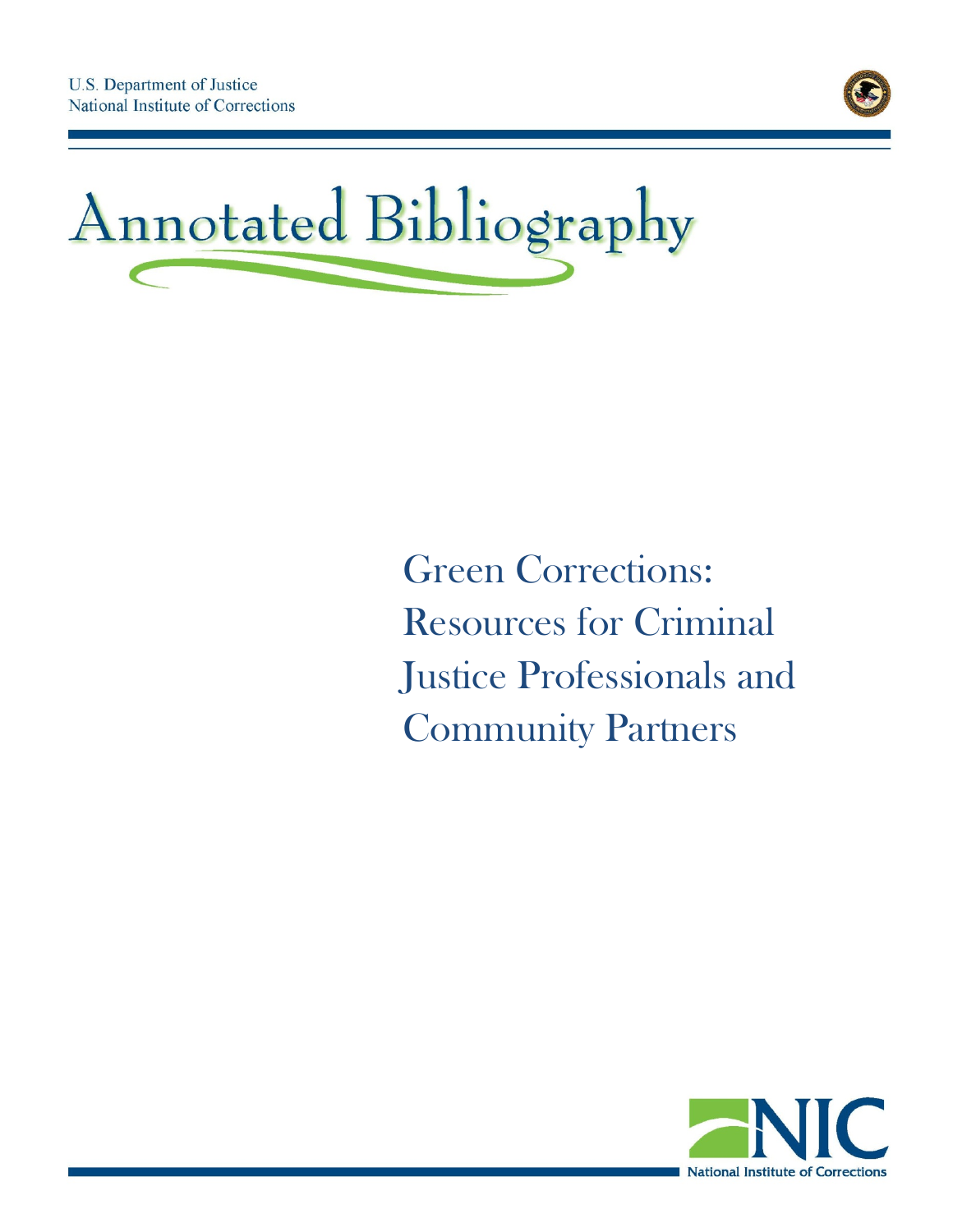



# Green Corrections: Resources for Criminal Justice Professionals and Community Partners

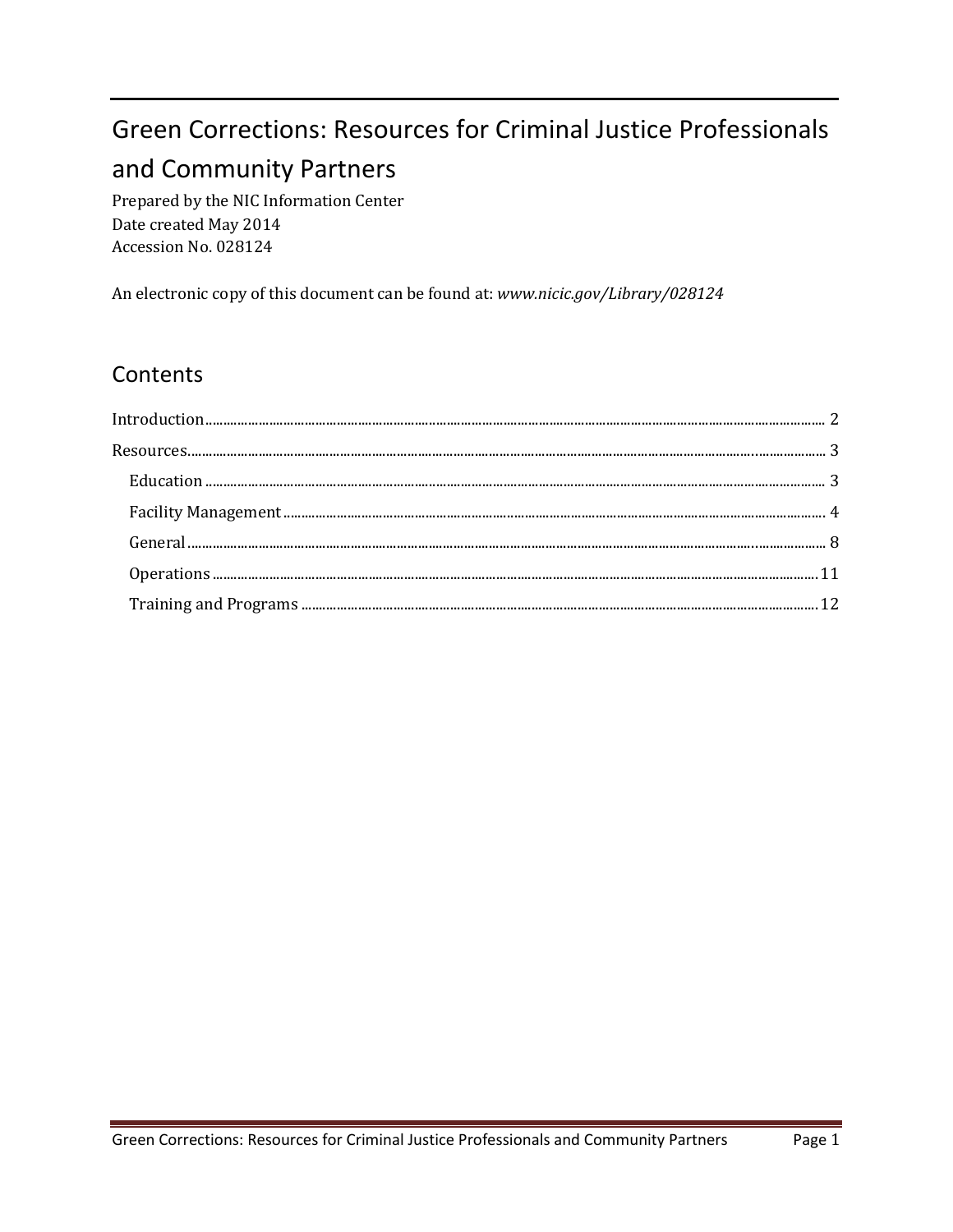# **Green Corrections: Resources for Criminal Justice Professionals** and Community Partners

Prepared by the NIC Information Center Date created May 2014 Accession No. 028124

An electronic copy of this document can be found at: www.nicic.gov/Library/028124

## Contents

| $\begin{minipage}{0.9\linewidth} Training and Programs \textbf{\textit{}} \textbf{\textit{}} \textbf{\textit{}} \textbf{\textit{}} \textbf{\textit{}} \textbf{\textit{}} \textbf{\textit{}} \textbf{\textit{}} \textbf{\textit{}} \textbf{\textit{}} \textbf{\textit{}} \textbf{\textit{}} \textbf{\textit{}} \textbf{\textit{}} \textbf{\textit{}} \textbf{\textit{}} \textbf{\textit{}} \textbf{\textit{}} \textbf{\textit{}} \textbf{\textit{}} \textbf{\textit{}} \textbf{\textit{}} \textbf{\text$ |  |
|---------------------------------------------------------------------------------------------------------------------------------------------------------------------------------------------------------------------------------------------------------------------------------------------------------------------------------------------------------------------------------------------------------------------------------------------------------------------------------------------------------|--|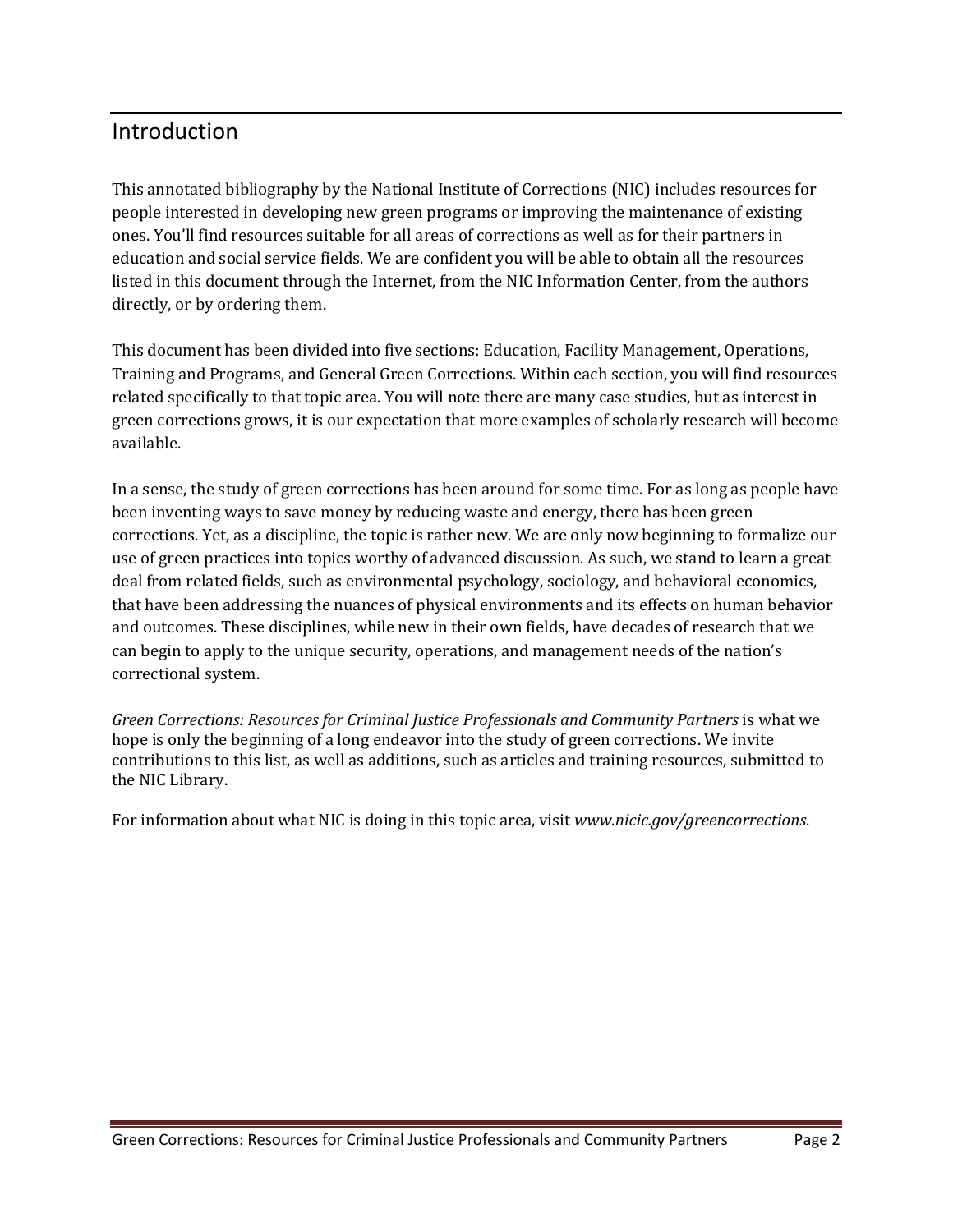### <span id="page-2-0"></span>Introduction

This annotated bibliography by the National Institute of Corrections (NIC) includes resources for people interested in developing new green programs or improving the maintenance of existing ones. You'll find resources suitable for all areas of corrections as well as for their partners in education and social service fields. We are confident you will be able to obtain all the resources listed in this document through the Internet, from the NIC Information Center, from the authors directly, or by ordering them.

This document has been divided into five sections: Education, Facility Management, Operations, Training and Programs, and General Green Corrections. Within each section, you will find resources related specifically to that topic area. You will note there are many case studies, but as interest in green corrections grows, it is our expectation that more examples of scholarly research will become available.

In a sense, the study of green corrections has been around for some time. For as long as people have been inventing ways to save money by reducing waste and energy, there has been green corrections. Yet, as a discipline, the topic is rather new. We are only now beginning to formalize our use of green practices into topics worthy of advanced discussion. As such, we stand to learn a great deal from related fields, such as environmental psychology, sociology, and behavioral economics, that have been addressing the nuances of physical environments and its effects on human behavior and outcomes. These disciplines, while new in their own fields, have decades of research that we can begin to apply to the unique security, operations, and management needs of the nation's correctional system.

*Green Corrections: Resources for Criminal Justice Professionals and Community Partners* is what we hope is only the beginning of a long endeavor into the study of green corrections. We invite contributions to this list, as well as additions, such as articles and training resources, submitted to the NIC Library.

For information about what NIC is doing in this topic area, visit *[www.nicic.gov/greencorrections](http://www.nicic.gov/greencorrections)*.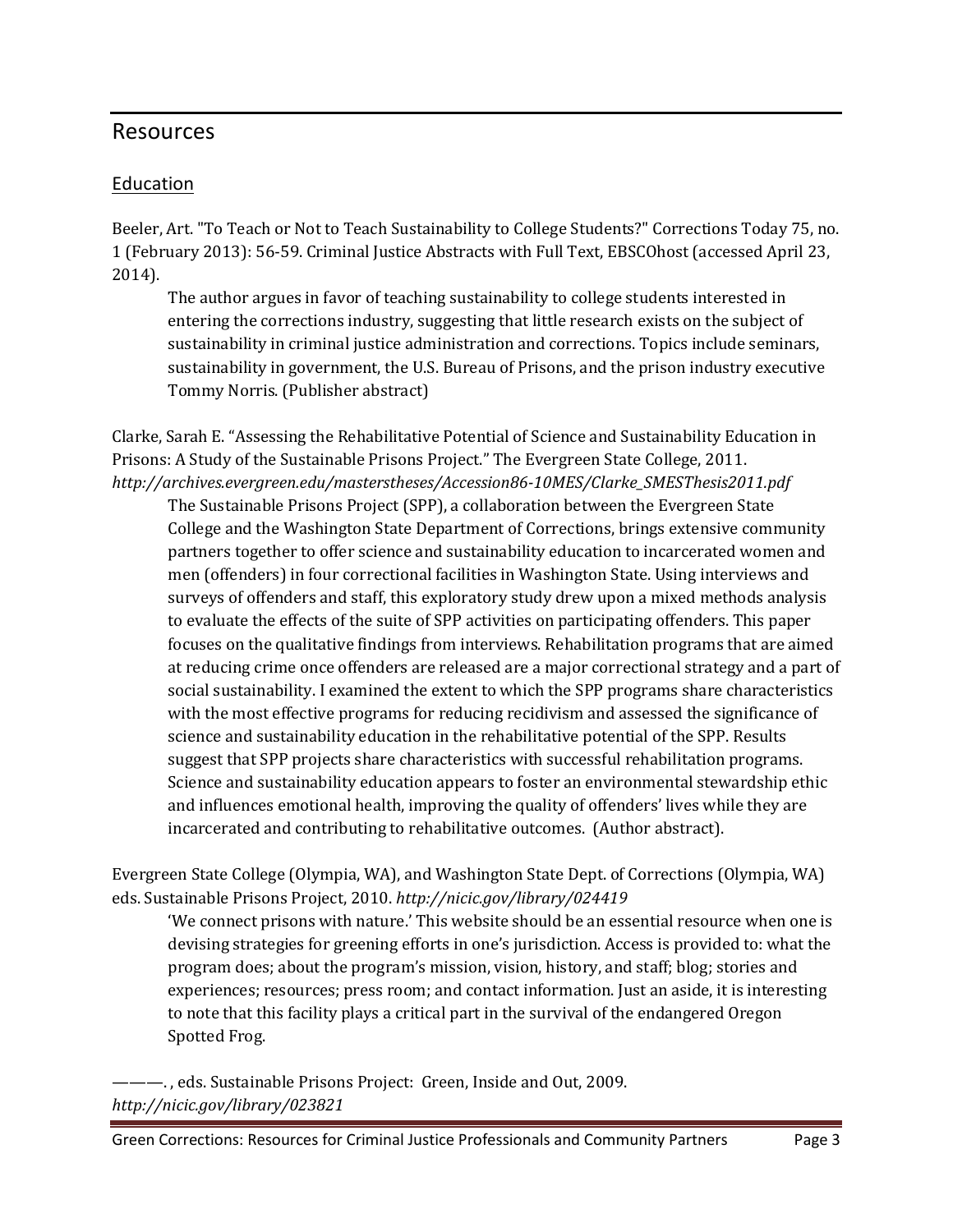#### <span id="page-3-0"></span>Resources

#### <span id="page-3-1"></span>Education

Beeler, Art. "To Teach or Not to Teach Sustainability to College Students?" Corrections Today 75, no. 1 (February 2013): 56-59. Criminal Justice Abstracts with Full Text, EBSCOhost (accessed April 23, 2014).

The author argues in favor of teaching sustainability to college students interested in entering the corrections industry, suggesting that little research exists on the subject of sustainability in criminal justice administration and corrections. Topics include seminars, sustainability in government, the U.S. Bureau of Prisons, and the prison industry executive Tommy Norris. (Publisher abstract)

Clarke, Sarah E. "Assessing the Rehabilitative Potential of Science and Sustainability Education in Prisons: A Study of the Sustainable Prisons Project." The Evergreen State College, 2011. *[http://archives.evergreen.edu/masterstheses/Accession86-10MES/Clarke\\_SMESThesis2011.pdf](http://archives.evergreen.edu/masterstheses/Accession86-10MES/Clarke_SMESThesis2011.pdf)*

The Sustainable Prisons Project (SPP), a collaboration between the Evergreen State College and the Washington State Department of Corrections, brings extensive community partners together to offer science and sustainability education to incarcerated women and men (offenders) in four correctional facilities in Washington State. Using interviews and surveys of offenders and staff, this exploratory study drew upon a mixed methods analysis to evaluate the effects of the suite of SPP activities on participating offenders. This paper focuses on the qualitative findings from interviews. Rehabilitation programs that are aimed at reducing crime once offenders are released are a major correctional strategy and a part of social sustainability. I examined the extent to which the SPP programs share characteristics with the most effective programs for reducing recidivism and assessed the significance of science and sustainability education in the rehabilitative potential of the SPP. Results suggest that SPP projects share characteristics with successful rehabilitation programs. Science and sustainability education appears to foster an environmental stewardship ethic and influences emotional health, improving the quality of offenders' lives while they are incarcerated and contributing to rehabilitative outcomes. (Author abstract).

Evergreen State College (Olympia, WA), and Washington State Dept. of Corrections (Olympia, WA) eds. Sustainable Prisons Project, 2010. *<http://nicic.gov/library/024419>*

'We connect prisons with nature.' This website should be an essential resource when one is devising strategies for greening efforts in one's jurisdiction. Access is provided to: what the program does; about the program's mission, vision, history, and staff; blog; stories and experiences; resources; press room; and contact information. Just an aside, it is interesting to note that this facility plays a critical part in the survival of the endangered Oregon Spotted Frog.

———. , eds. Sustainable Prisons Project: Green, Inside and Out, 2009. *<http://nicic.gov/library/023821>*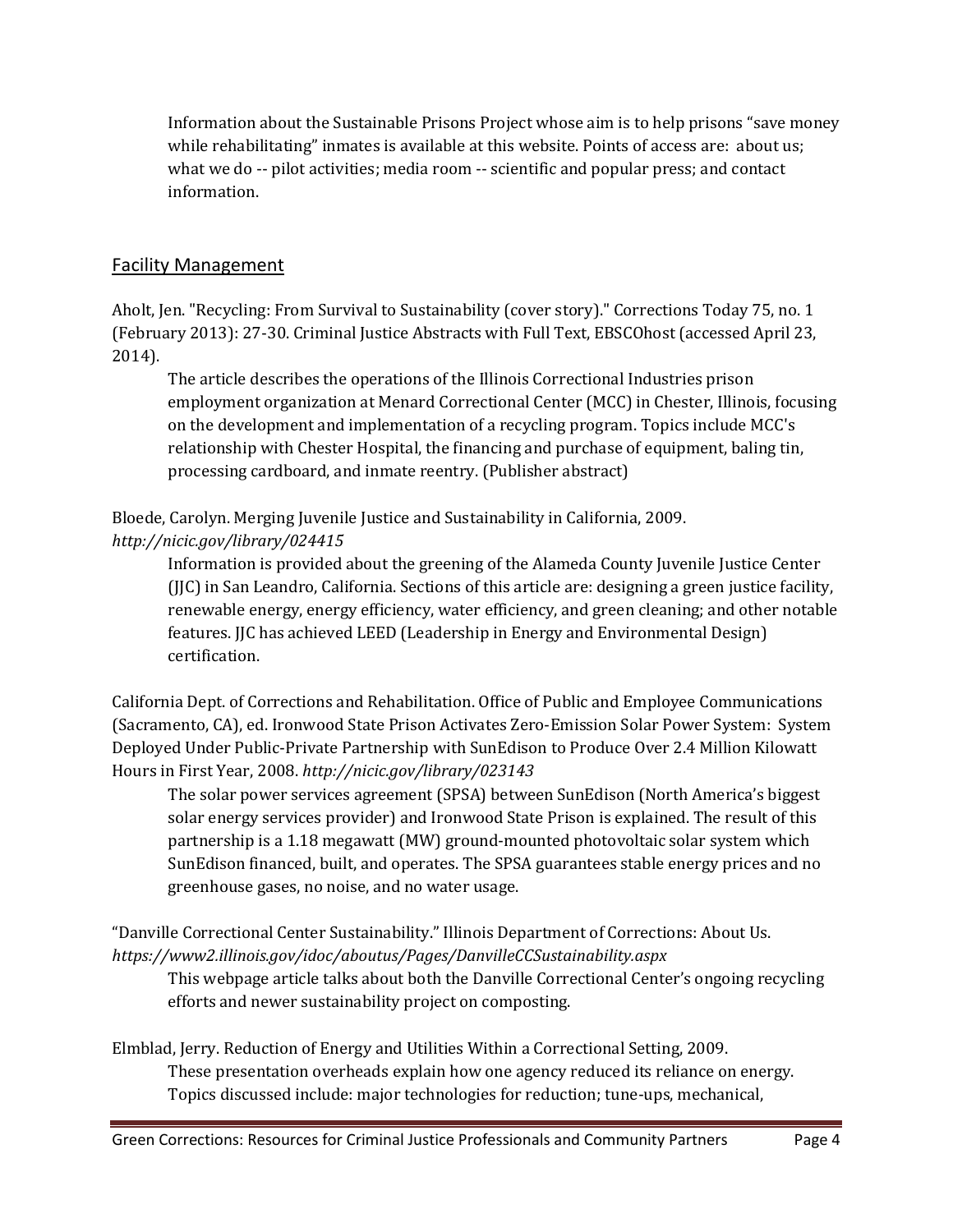Information about the Sustainable Prisons Project whose aim is to help prisons "save money while rehabilitating" inmates is available at this website. Points of access are: about us; what we do -- pilot activities; media room -- scientific and popular press; and contact information.

#### <span id="page-4-0"></span>Facility Management

Aholt, Jen. "Recycling: From Survival to Sustainability (cover story)." Corrections Today 75, no. 1 (February 2013): 27-30. Criminal Justice Abstracts with Full Text, EBSCOhost (accessed April 23, 2014).

The article describes the operations of the Illinois Correctional Industries prison employment organization at Menard Correctional Center (MCC) in Chester, Illinois, focusing on the development and implementation of a recycling program. Topics include MCC's relationship with Chester Hospital, the financing and purchase of equipment, baling tin, processing cardboard, and inmate reentry. (Publisher abstract)

Bloede, Carolyn. Merging Juvenile Justice and Sustainability in California, 2009.

#### *<http://nicic.gov/library/024415>*

Information is provided about the greening of the Alameda County Juvenile Justice Center (JJC) in San Leandro, California. Sections of this article are: designing a green justice facility, renewable energy, energy efficiency, water efficiency, and green cleaning; and other notable features. JJC has achieved LEED (Leadership in Energy and Environmental Design) certification.

California Dept. of Corrections and Rehabilitation. Office of Public and Employee Communications (Sacramento, CA), ed. Ironwood State Prison Activates Zero-Emission Solar Power System: System Deployed Under Public-Private Partnership with SunEdison to Produce Over 2.4 Million Kilowatt Hours in First Year, 2008. *<http://nicic.gov/library/023143>*

The solar power services agreement (SPSA) between SunEdison (North America's biggest solar energy services provider) and Ironwood State Prison is explained. The result of this partnership is a 1.18 megawatt (MW) ground-mounted photovoltaic solar system which SunEdison financed, built, and operates. The SPSA guarantees stable energy prices and no greenhouse gases, no noise, and no water usage.

"Danville Correctional Center Sustainability." Illinois Department of Corrections: About Us. *<https://www2.illinois.gov/idoc/aboutus/Pages/DanvilleCCSustainability.aspx>*

This webpage article talks about both the Danville Correctional Center's ongoing recycling efforts and newer sustainability project on composting.

Elmblad, Jerry. Reduction of Energy and Utilities Within a Correctional Setting, 2009. These presentation overheads explain how one agency reduced its reliance on energy. Topics discussed include: major technologies for reduction; tune-ups, mechanical,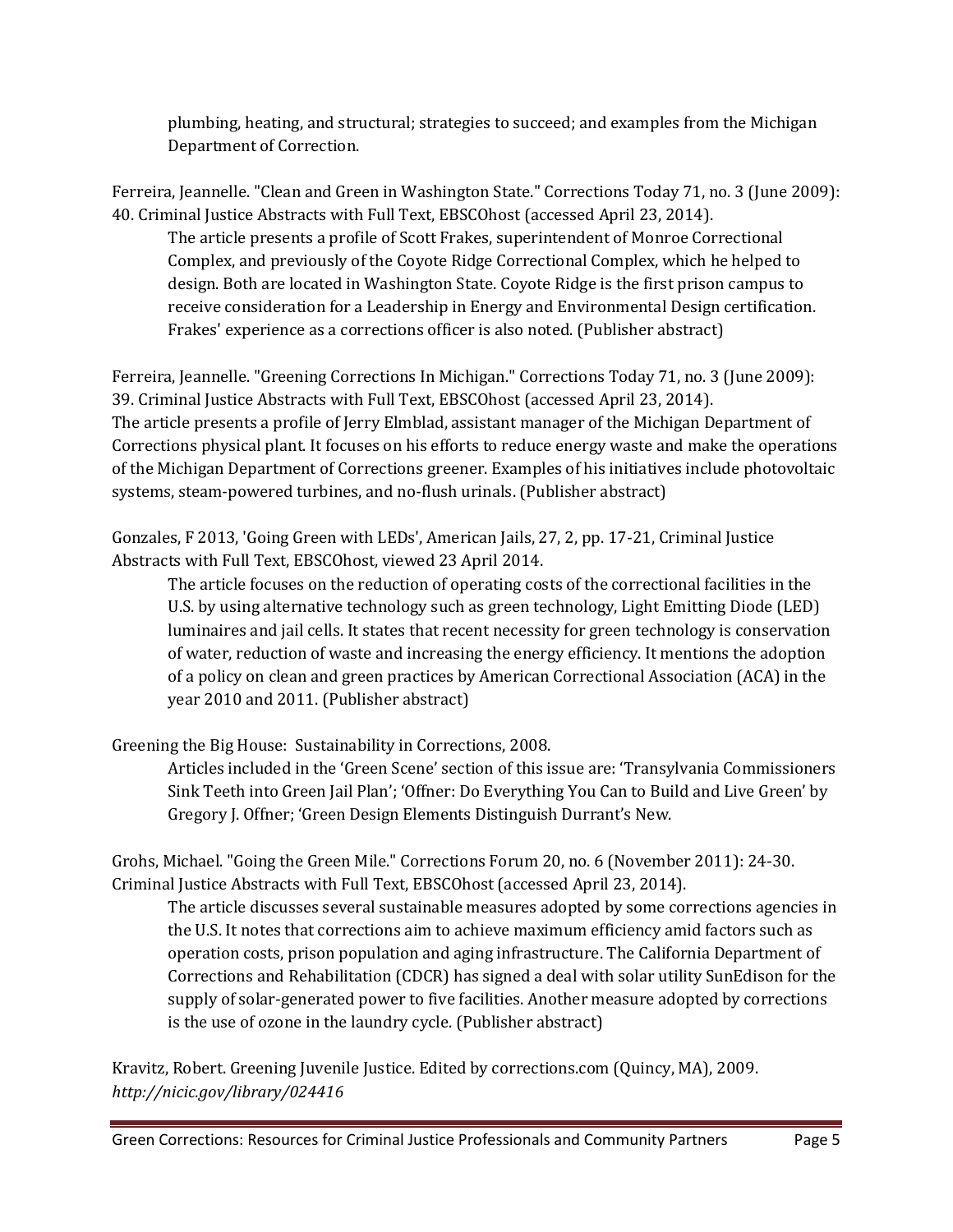plumbing, heating, and structural; strategies to succeed; and examples from the Michigan Department of Correction.

Ferreira, Jeannelle. "Clean and Green in Washington State." Corrections Today 71, no. 3 (June 2009): 40. Criminal Justice Abstracts with Full Text, EBSCOhost (accessed April 23, 2014).

The article presents a profile of Scott Frakes, superintendent of Monroe Correctional Complex, and previously of the Coyote Ridge Correctional Complex, which he helped to design. Both are located in Washington State. Coyote Ridge is the first prison campus to receive consideration for a Leadership in Energy and Environmental Design certification. Frakes' experience as a corrections officer is also noted. (Publisher abstract)

Ferreira, Jeannelle. "Greening Corrections In Michigan." Corrections Today 71, no. 3 (June 2009): 39. Criminal Justice Abstracts with Full Text, EBSCOhost (accessed April 23, 2014). The article presents a profile of Jerry Elmblad, assistant manager of the Michigan Department of Corrections physical plant. It focuses on his efforts to reduce energy waste and make the operations of the Michigan Department of Corrections greener. Examples of his initiatives include photovoltaic systems, steam-powered turbines, and no-flush urinals. (Publisher abstract)

Gonzales, F 2013, 'Going Green with LEDs', American Jails, 27, 2, pp. 17-21, Criminal Justice Abstracts with Full Text, EBSCOhost, viewed 23 April 2014.

The article focuses on the reduction of operating costs of the correctional facilities in the U.S. by using alternative technology such as green technology, Light Emitting Diode (LED) luminaires and jail cells. It states that recent necessity for green technology is conservation of water, reduction of waste and increasing the energy efficiency. It mentions the adoption of a policy on clean and green practices by American Correctional Association (ACA) in the year 2010 and 2011. (Publisher abstract)

Greening the Big House: Sustainability in Corrections, 2008.

Articles included in the 'Green Scene' section of this issue are: 'Transylvania Commissioners Sink Teeth into Green Jail Plan'; 'Offner: Do Everything You Can to Build and Live Green' by Gregory J. Offner; 'Green Design Elements Distinguish Durrant's New.

Grohs, Michael. "Going the Green Mile." Corrections Forum 20, no. 6 (November 2011): 24-30. Criminal Justice Abstracts with Full Text, EBSCOhost (accessed April 23, 2014).

The article discusses several sustainable measures adopted by some corrections agencies in the U.S. It notes that corrections aim to achieve maximum efficiency amid factors such as operation costs, prison population and aging infrastructure. The California Department of Corrections and Rehabilitation (CDCR) has signed a deal with solar utility SunEdison for the supply of solar-generated power to five facilities. Another measure adopted by corrections is the use of ozone in the laundry cycle. (Publisher abstract)

Kravitz, Robert. Greening Juvenile Justice. Edited by corrections.com (Quincy, MA), 2009. *<http://nicic.gov/library/024416>*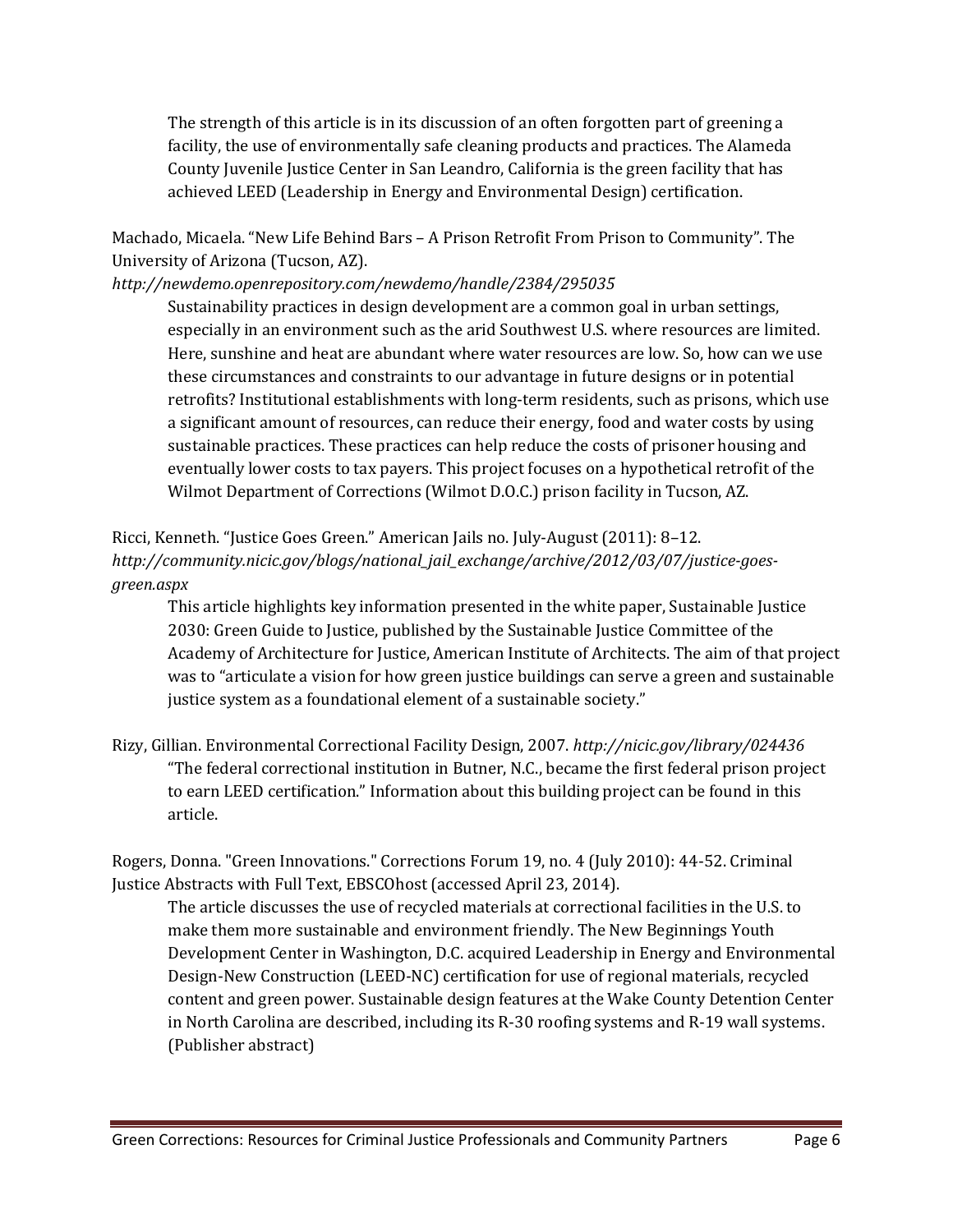The strength of this article is in its discussion of an often forgotten part of greening a facility, the use of environmentally safe cleaning products and practices. The Alameda County Juvenile Justice Center in San Leandro, California is the green facility that has achieved LEED (Leadership in Energy and Environmental Design) certification.

Machado, Micaela. "New Life Behind Bars – A Prison Retrofit From Prison to Community". The University of Arizona (Tucson, AZ).

*<http://newdemo.openrepository.com/newdemo/handle/2384/295035>*

Sustainability practices in design development are a common goal in urban settings, especially in an environment such as the arid Southwest U.S. where resources are limited. Here, sunshine and heat are abundant where water resources are low. So, how can we use these circumstances and constraints to our advantage in future designs or in potential retrofits? Institutional establishments with long-term residents, such as prisons, which use a significant amount of resources, can reduce their energy, food and water costs by using sustainable practices. These practices can help reduce the costs of prisoner housing and eventually lower costs to tax payers. This project focuses on a hypothetical retrofit of the Wilmot Department of Corrections (Wilmot D.O.C.) prison facility in Tucson, AZ.

#### Ricci, Kenneth. "Justice Goes Green." American Jails no. July-August (2011): 8–12. *[http://community.nicic.gov/blogs/national\\_jail\\_exchange/archive/2012/03/07/justice-goes](http://community.nicic.gov/blogs/national_jail_exchange/archive/2012/03/07/justice-goes-green.aspx)[green.aspx](http://community.nicic.gov/blogs/national_jail_exchange/archive/2012/03/07/justice-goes-green.aspx)*

This article highlights key information presented in the white paper, Sustainable Justice 2030: Green Guide to Justice, published by the Sustainable Justice Committee of the Academy of Architecture for Justice, American Institute of Architects. The aim of that project was to "articulate a vision for how green justice buildings can serve a green and sustainable justice system as a foundational element of a sustainable society."

Rizy, Gillian. Environmental Correctional Facility Design, 2007. *<http://nicic.gov/library/024436>* "The federal correctional institution in Butner, N.C., became the first federal prison project to earn LEED certification." Information about this building project can be found in this article.

Rogers, Donna. "Green Innovations." Corrections Forum 19, no. 4 (July 2010): 44-52. Criminal Justice Abstracts with Full Text, EBSCOhost (accessed April 23, 2014).

The article discusses the use of recycled materials at correctional facilities in the U.S. to make them more sustainable and environment friendly. The New Beginnings Youth Development Center in Washington, D.C. acquired Leadership in Energy and Environmental Design-New Construction (LEED-NC) certification for use of regional materials, recycled content and green power. Sustainable design features at the Wake County Detention Center in North Carolina are described, including its R-30 roofing systems and R-19 wall systems. (Publisher abstract)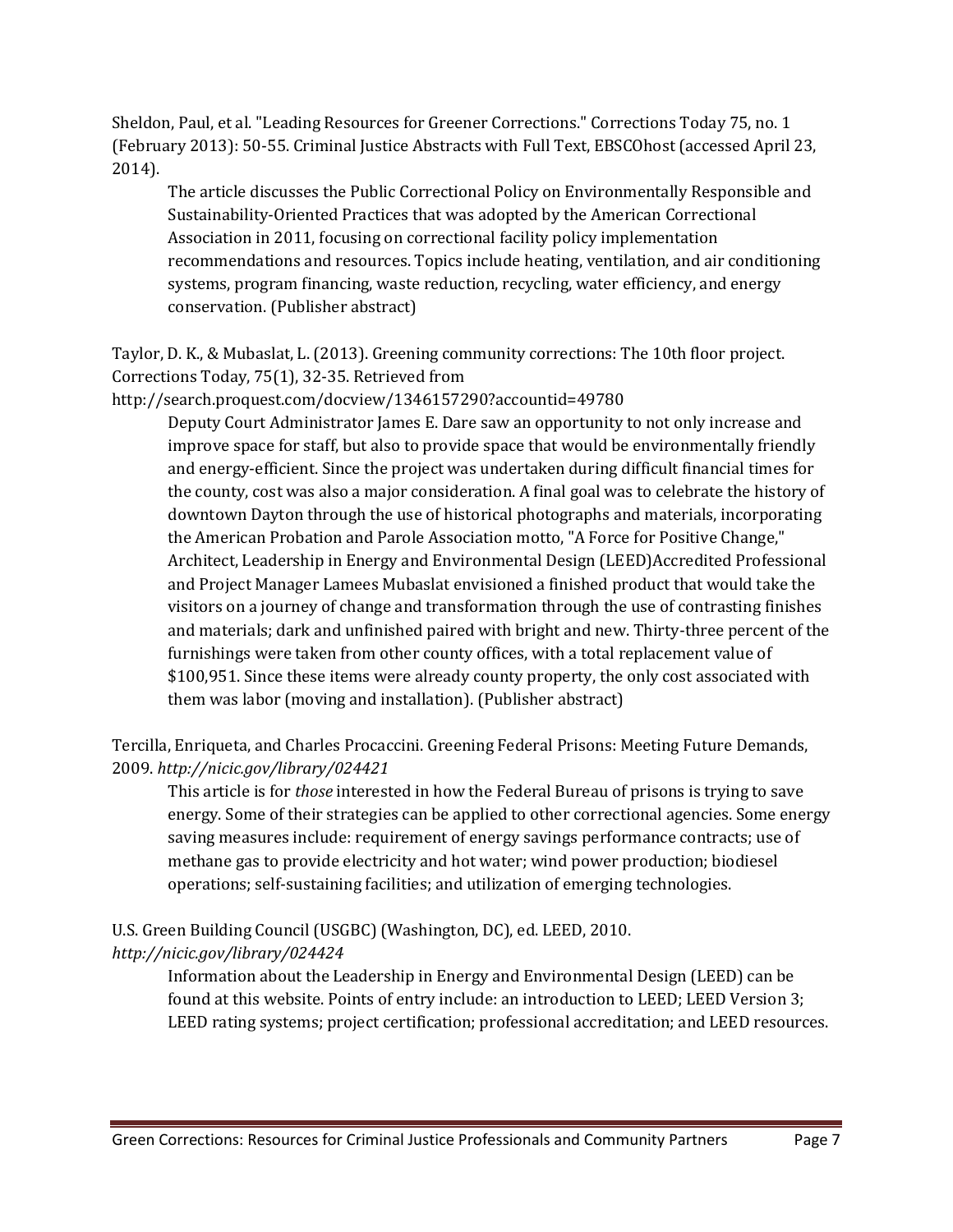Sheldon, Paul, et al. "Leading Resources for Greener Corrections." Corrections Today 75, no. 1 (February 2013): 50-55. Criminal Justice Abstracts with Full Text, EBSCOhost (accessed April 23, 2014).

The article discusses the Public Correctional Policy on Environmentally Responsible and Sustainability-Oriented Practices that was adopted by the American Correctional Association in 2011, focusing on correctional facility policy implementation recommendations and resources. Topics include heating, ventilation, and air conditioning systems, program financing, waste reduction, recycling, water efficiency, and energy conservation. (Publisher abstract)

Taylor, D. K., & Mubaslat, L. (2013). Greening community corrections: The 10th floor project. Corrections Today, 75(1), 32-35. Retrieved from

http://search.proquest.com/docview/1346157290?accountid=49780

Deputy Court Administrator James E. Dare saw an opportunity to not only increase and improve space for staff, but also to provide space that would be environmentally friendly and energy-efficient. Since the project was undertaken during difficult financial times for the county, cost was also a major consideration. A final goal was to celebrate the history of downtown Dayton through the use of historical photographs and materials, incorporating the American Probation and Parole Association motto, "A Force for Positive Change," Architect, Leadership in Energy and Environmental Design (LEED)Accredited Professional and Project Manager Lamees Mubaslat envisioned a finished product that would take the visitors on a journey of change and transformation through the use of contrasting finishes and materials; dark and unfinished paired with bright and new. Thirty-three percent of the furnishings were taken from other county offices, with a total replacement value of \$100,951. Since these items were already county property, the only cost associated with them was labor (moving and installation). (Publisher abstract)

Tercilla, Enriqueta, and Charles Procaccini. Greening Federal Prisons: Meeting Future Demands, 2009. *<http://nicic.gov/library/024421>*

This article is for *[those](http://nicic.gov/library/024421)* interested in how the Federal Bureau of prisons is trying to save energy. Some of their strategies can be applied to other correctional agencies. Some energy saving measures include: requirement of energy savings performance contracts; use of methane gas to provide electricity and hot water; wind power production; biodiesel operations; self-sustaining facilities; and utilization of emerging technologies.

U.S. Green Building Council (USGBC) (Washington, DC), ed. LEED, 2010. *<http://nicic.gov/library/024424>*

Information about the Leadership in Energy and Environmental Design (LEED) can be found at this website. Points of entry include: an introduction to LEED; LEED Version 3; LEED rating systems; project certification; professional accreditation; and LEED resources.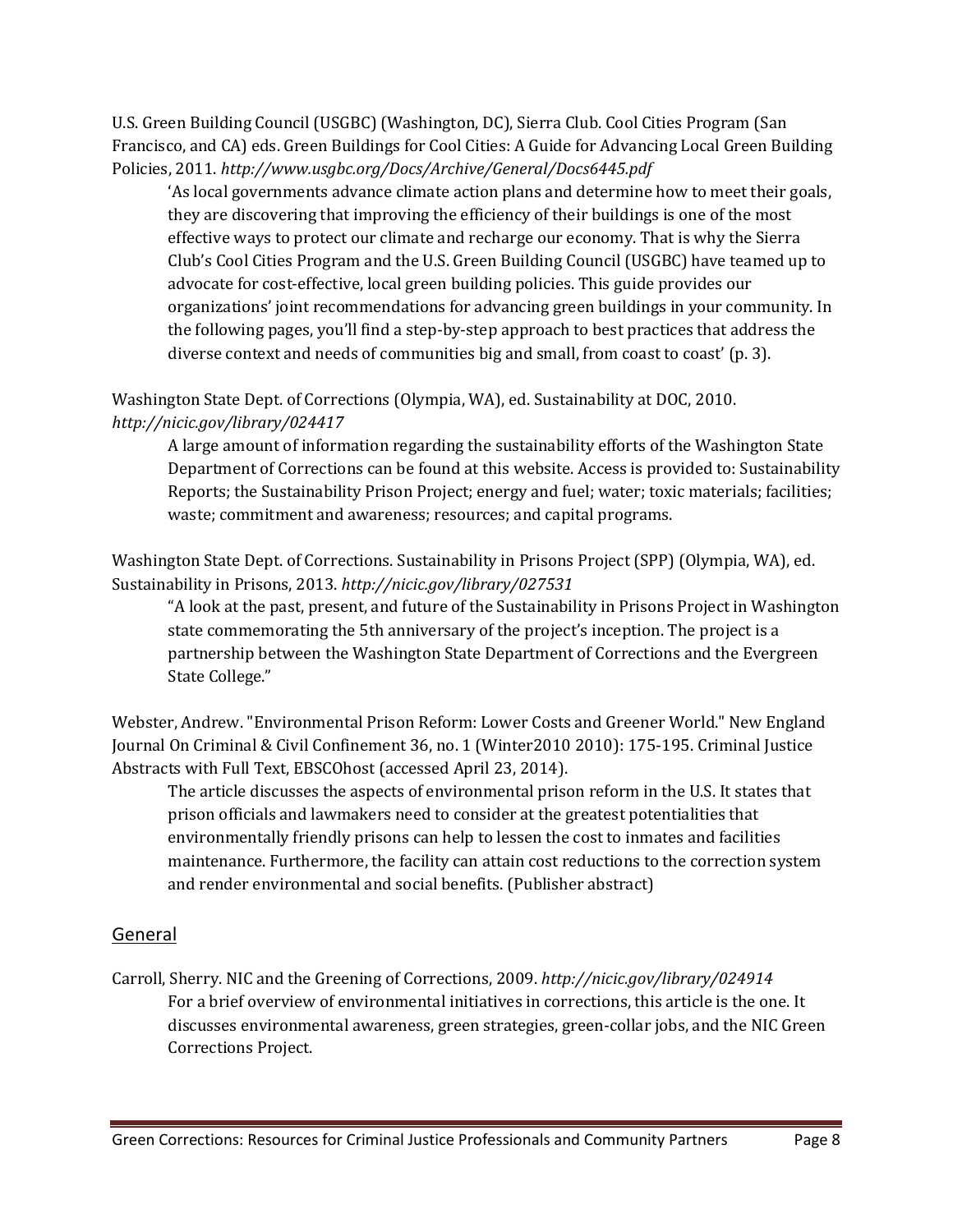U.S. Green Building Council (USGBC) (Washington, DC), Sierra Club. Cool Cities Program (San Francisco, and CA) eds. Green Buildings for Cool Cities: A Guide for Advancing Local Green Building Policies, 2011. *<http://www.usgbc.org/Docs/Archive/General/Docs6445.pdf>*

'As local governments advance climate action plans and determine how to meet their goals, they are discovering that improving the efficiency of their buildings is one of the most effective ways to protect our climate and recharge our economy. That is why the Sierra Club's Cool Cities Program and the U.S. Green Building Council (USGBC) have teamed up to advocate for cost-effective, local green building policies. This guide provides our organizations' joint recommendations for advancing green buildings in your community. In the following pages, you'll find a step-by-step approach to best practices that address the diverse context and needs of communities big and small, from coast to coast' (p. 3).

Washington State Dept. of Corrections (Olympia, WA), ed. Sustainability at DOC, 2010. *<http://nicic.gov/library/024417>*

A large amount of information regarding the sustainability efforts of the Washington State Department of Corrections can be found at this website. Access is provided to: Sustainability Reports; the Sustainability Prison Project; energy and fuel; water; toxic materials; facilities; waste; commitment and awareness; resources; and capital programs.

Washington State Dept. of Corrections. Sustainability in Prisons Project (SPP) (Olympia, WA), ed. Sustainability in Prisons, 2013. *<http://nicic.gov/library/027531>*

"A look at the past, present, and future of the Sustainability in Prisons Project in Washington state commemorating the 5th anniversary of the project's inception. The project is a partnership between the Washington State Department of Corrections and the Evergreen State College."

Webster, Andrew. "Environmental Prison Reform: Lower Costs and Greener World." New England Journal On Criminal & Civil Confinement 36, no. 1 (Winter2010 2010): 175-195. Criminal Justice Abstracts with Full Text, EBSCOhost (accessed April 23, 2014).

The article discusses the aspects of environmental prison reform in the U.S. It states that prison officials and lawmakers need to consider at the greatest potentialities that environmentally friendly prisons can help to lessen the cost to inmates and facilities maintenance. Furthermore, the facility can attain cost reductions to the correction system and render environmental and social benefits. (Publisher abstract)

#### <span id="page-8-0"></span>General

Carroll, Sherry. NIC and the Greening of Corrections, 2009. *<http://nicic.gov/library/024914>* For a brief overview of environmental initiatives in corrections, this article is the one. It discusses environmental awareness, green strategies, green-collar jobs, and the NIC Green Corrections Project.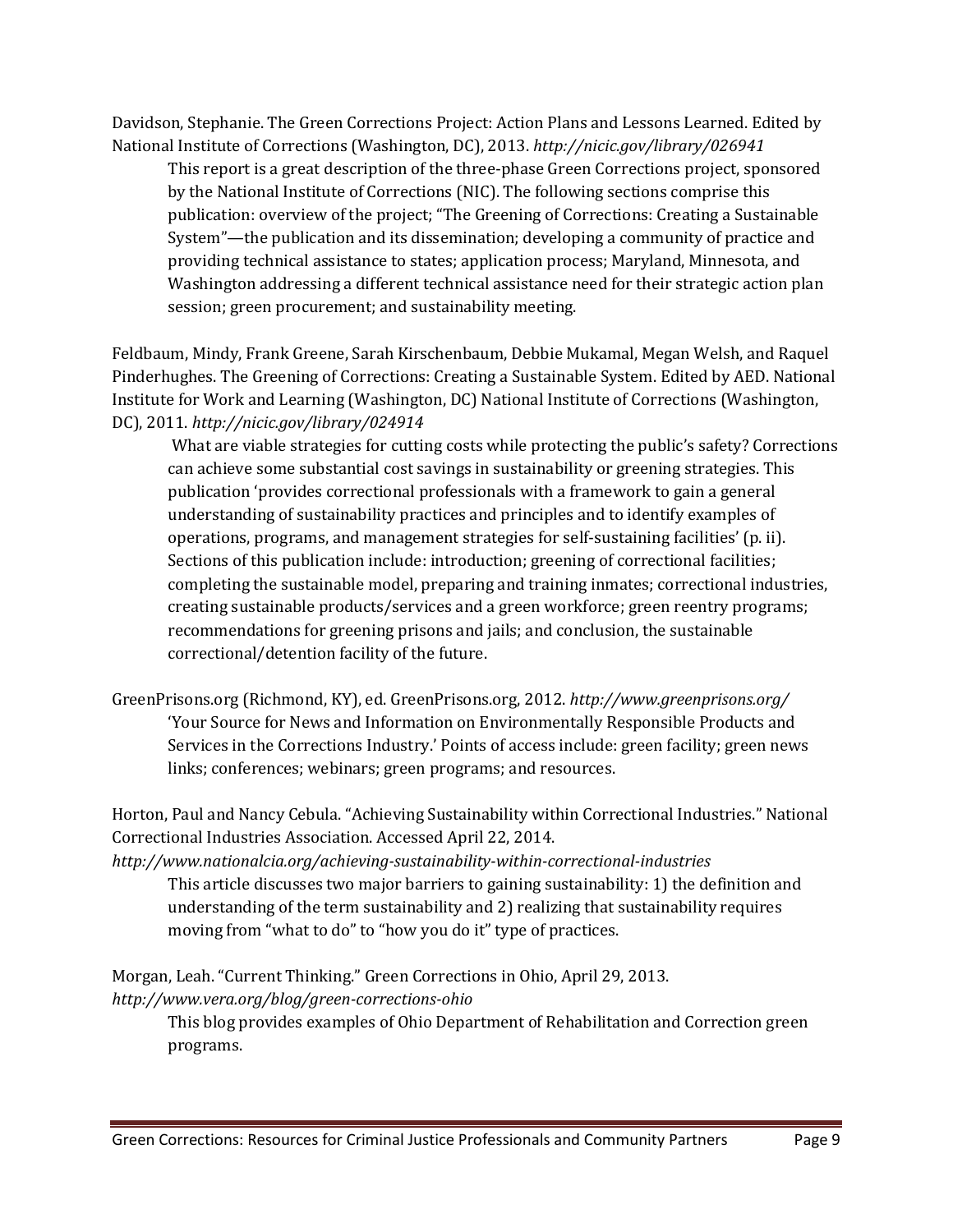Davidson, Stephanie. The Green Corrections Project: Action Plans and Lessons Learned. Edited by National Institute of Corrections (Washington, DC), 2013. *<http://nicic.gov/library/026941>*

This report is a great description of the three-phase Green Corrections project, sponsored by the National Institute of Corrections (NIC). The following sections comprise this publication: overview of the project; "The Greening of Corrections: Creating a Sustainable System"—the publication and its dissemination; developing a community of practice and providing technical assistance to states; application process; Maryland, Minnesota, and Washington addressing a different technical assistance need for their strategic action plan session; green procurement; and sustainability meeting.

Feldbaum, Mindy, Frank Greene, Sarah Kirschenbaum, Debbie Mukamal, Megan Welsh, and Raquel Pinderhughes. The Greening of Corrections: Creating a Sustainable System. Edited by AED. National Institute for Work and Learning (Washington, DC) National Institute of Corrections (Washington, DC), 2011. *<http://nicic.gov/library/024914>*

What are viable strategies for cutting costs while protecting the public's safety? Corrections can achieve some substantial cost savings in sustainability or greening strategies. This publication 'provides correctional professionals with a framework to gain a general understanding of sustainability practices and principles and to identify examples of operations, programs, and management strategies for self-sustaining facilities' (p. ii). Sections of this publication include: introduction; greening of correctional facilities; completing the sustainable model, preparing and training inmates; correctional industries, creating sustainable products/services and a green workforce; green reentry programs; recommendations for greening prisons and jails; and conclusion, the sustainable correctional/detention facility of the future.

GreenPrisons.org (Richmond, KY), ed. GreenPrisons.org, 2012. *<http://www.greenprisons.org/>* 'Your Source for News and Information on Environmentally Responsible Products and Services in the Corrections Industry.' Points of access include: green facility; green news links; conferences; webinars; green programs; and resources.

Horton, Paul and Nancy Cebula. "Achieving Sustainability within Correctional Industries." National Correctional Industries Association. Accessed April 22, 2014.

*<http://www.nationalcia.org/achieving-sustainability-within-correctional-industries>* This article discusses two major barriers to gaining sustainability: 1) the definition and understanding of the term sustainability and 2) realizing that sustainability requires moving from "what to do" to "how you do it" type of practices.

Morgan, Leah. "Current Thinking." Green Corrections in Ohio, April 29, 2013. *<http://www.vera.org/blog/green-corrections-ohio>*

This blog provides examples of Ohio Department of Rehabilitation and Correction green programs.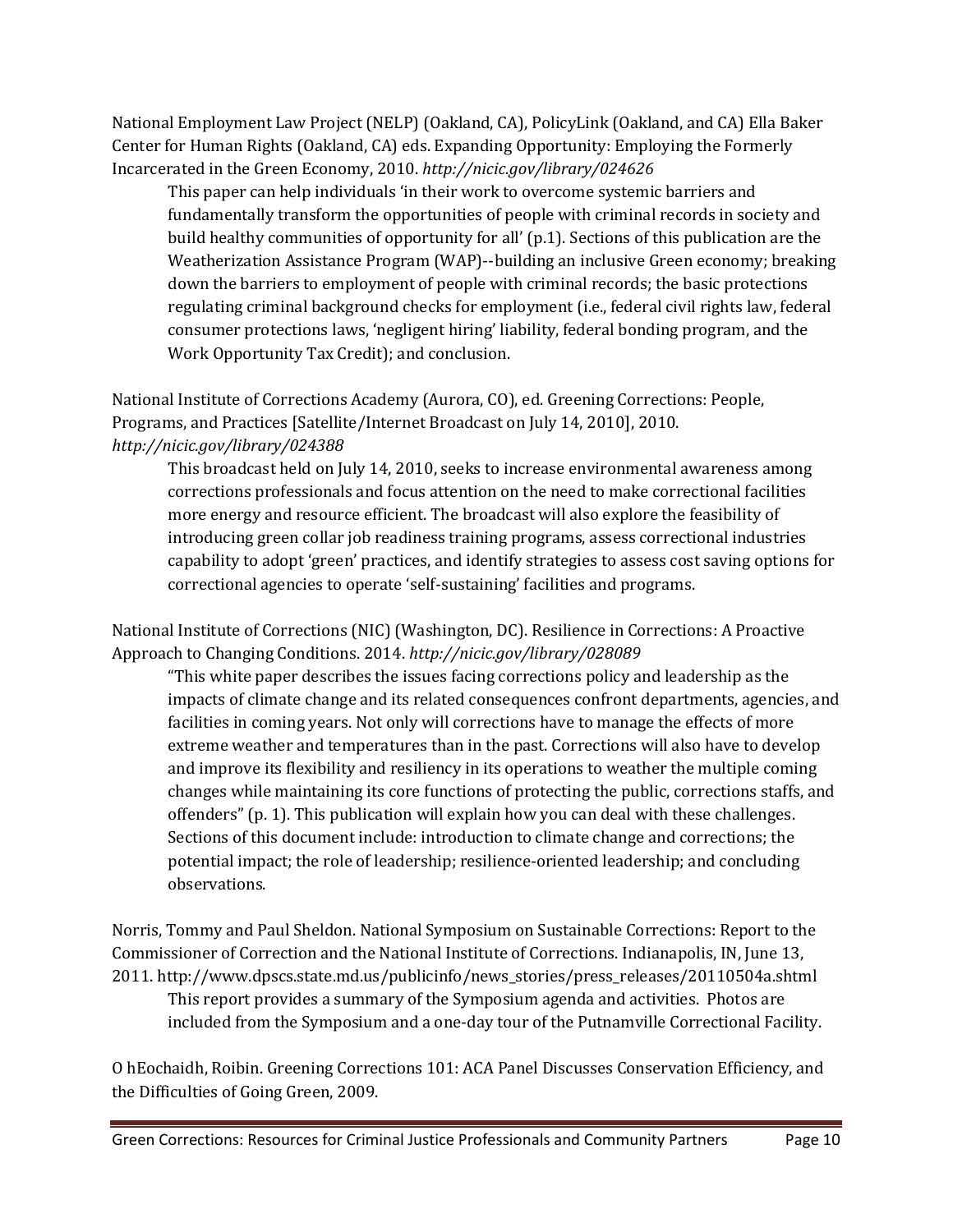National Employment Law Project (NELP) (Oakland, CA), PolicyLink (Oakland, and CA) Ella Baker Center for Human Rights (Oakland, CA) eds. Expanding Opportunity: Employing the Formerly Incarcerated in the Green Economy, 2010. *<http://nicic.gov/library/024626>*

This paper can help individuals 'in their work to overcome systemic barriers and fundamentally transform the opportunities of people with criminal records in society and build healthy communities of opportunity for all' (p.1). Sections of this publication are the Weatherization Assistance Program (WAP)--building an inclusive Green economy; breaking down the barriers to employment of people with criminal records; the basic protections regulating criminal background checks for employment (i.e., federal civil rights law, federal consumer protections laws, 'negligent hiring' liability, federal bonding program, and the Work Opportunity Tax Credit); and conclusion.

National Institute of Corrections Academy (Aurora, CO), ed. Greening Corrections: People, Programs, and Practices [Satellite/Internet Broadcast on July 14, 2010], 2010. *<http://nicic.gov/library/024388>*

This broadcast held on July 14, 2010, seeks to increase environmental awareness among corrections professionals and focus attention on the need to make correctional facilities more energy and resource efficient. The broadcast will also explore the feasibility of introducing green collar job readiness training programs, assess correctional industries capability to adopt 'green' practices, and identify strategies to assess cost saving options for correctional agencies to operate 'self-sustaining' facilities and programs.

National Institute of Corrections (NIC) (Washington, DC). Resilience in Corrections: A Proactive Approach to Changing Conditions. 2014. *<http://nicic.gov/library/028089>*

"This white paper describes the issues facing corrections policy and leadership as the impacts of climate change and its related consequences confront departments, agencies, and facilities in coming years. Not only will corrections have to manage the effects of more extreme weather and temperatures than in the past. Corrections will also have to develop and improve its flexibility and resiliency in its operations to weather the multiple coming changes while maintaining its core functions of protecting the public, corrections staffs, and offenders" (p. 1). This publication will explain how you can deal with these challenges. Sections of this document include: introduction to climate change and corrections; the potential impact; the role of leadership; resilience-oriented leadership; and concluding observations.

Norris, Tommy and Paul Sheldon. National Symposium on Sustainable Corrections: Report to the Commissioner of Correction and the National Institute of Corrections. Indianapolis, IN, June 13, 2011. http://www.dpscs.state.md.us/publicinfo/news\_stories/press\_releases/20110504a.shtml This report provides a summary of the Symposium agenda and activities. Photos are included from the Symposium and a one-day tour of the Putnamville Correctional Facility.

O hEochaidh, Roibin. Greening Corrections 101: ACA Panel Discusses Conservation Efficiency, and the Difficulties of Going Green, 2009.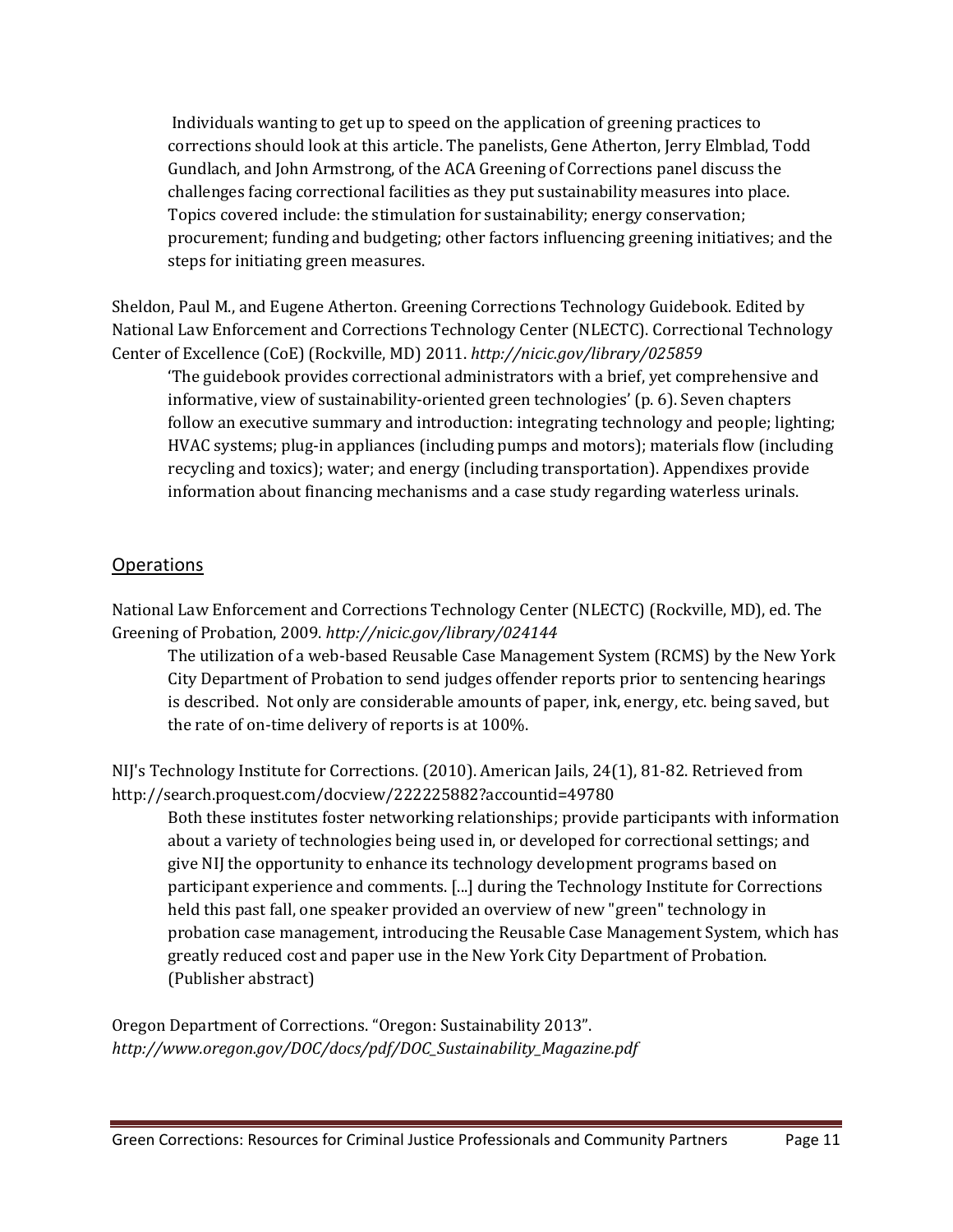Individuals wanting to get up to speed on the application of greening practices to corrections should look at this article. The panelists, Gene Atherton, Jerry Elmblad, Todd Gundlach, and John Armstrong, of the ACA Greening of Corrections panel discuss the challenges facing correctional facilities as they put sustainability measures into place. Topics covered include: the stimulation for sustainability; energy conservation; procurement; funding and budgeting; other factors influencing greening initiatives; and the steps for initiating green measures.

Sheldon, Paul M., and Eugene Atherton. Greening Corrections Technology Guidebook. Edited by National Law Enforcement and Corrections Technology Center (NLECTC). Correctional Technology Center of Excellence (CoE) (Rockville, MD) 2011. *<http://nicic.gov/library/025859>*

'The guidebook provides correctional administrators with a brief, yet comprehensive and informative, view of sustainability-oriented green technologies' (p. 6). Seven chapters follow an executive summary and introduction: integrating technology and people; lighting; HVAC systems; plug-in appliances (including pumps and motors); materials flow (including recycling and toxics); water; and energy (including transportation). Appendixes provide information about financing mechanisms and a case study regarding waterless urinals.

#### <span id="page-11-0"></span>**Operations**

National Law Enforcement and Corrections Technology Center (NLECTC) (Rockville, MD), ed. The Greening of Probation, 2009. *<http://nicic.gov/library/024144>*

The utilization of a web-based Reusable Case Management System (RCMS) by the New York City Department of Probation to send judges offender reports prior to sentencing hearings is described. Not only are considerable amounts of paper, ink, energy, etc. being saved, but the rate of on-time delivery of reports is at 100%.

NIJ's Technology Institute for Corrections. (2010). American Jails, 24(1), 81-82. Retrieved from http://search.proquest.com/docview/222225882?accountid=49780

Both these institutes foster networking relationships; provide participants with information about a variety of technologies being used in, or developed for correctional settings; and give NIJ the opportunity to enhance its technology development programs based on participant experience and comments. [...] during the Technology Institute for Corrections held this past fall, one speaker provided an overview of new "green" technology in probation case management, introducing the Reusable Case Management System, which has greatly reduced cost and paper use in the New York City Department of Probation. (Publisher abstract)

Oregon Department of Corrections. "Oregon: Sustainability 2013". *[http://www.oregon.gov/DOC/docs/pdf/DOC\\_Sustainability\\_Magazine.pdf](http://www.oregon.gov/DOC/docs/pdf/DOC_Sustainability_Magazine.pdf)*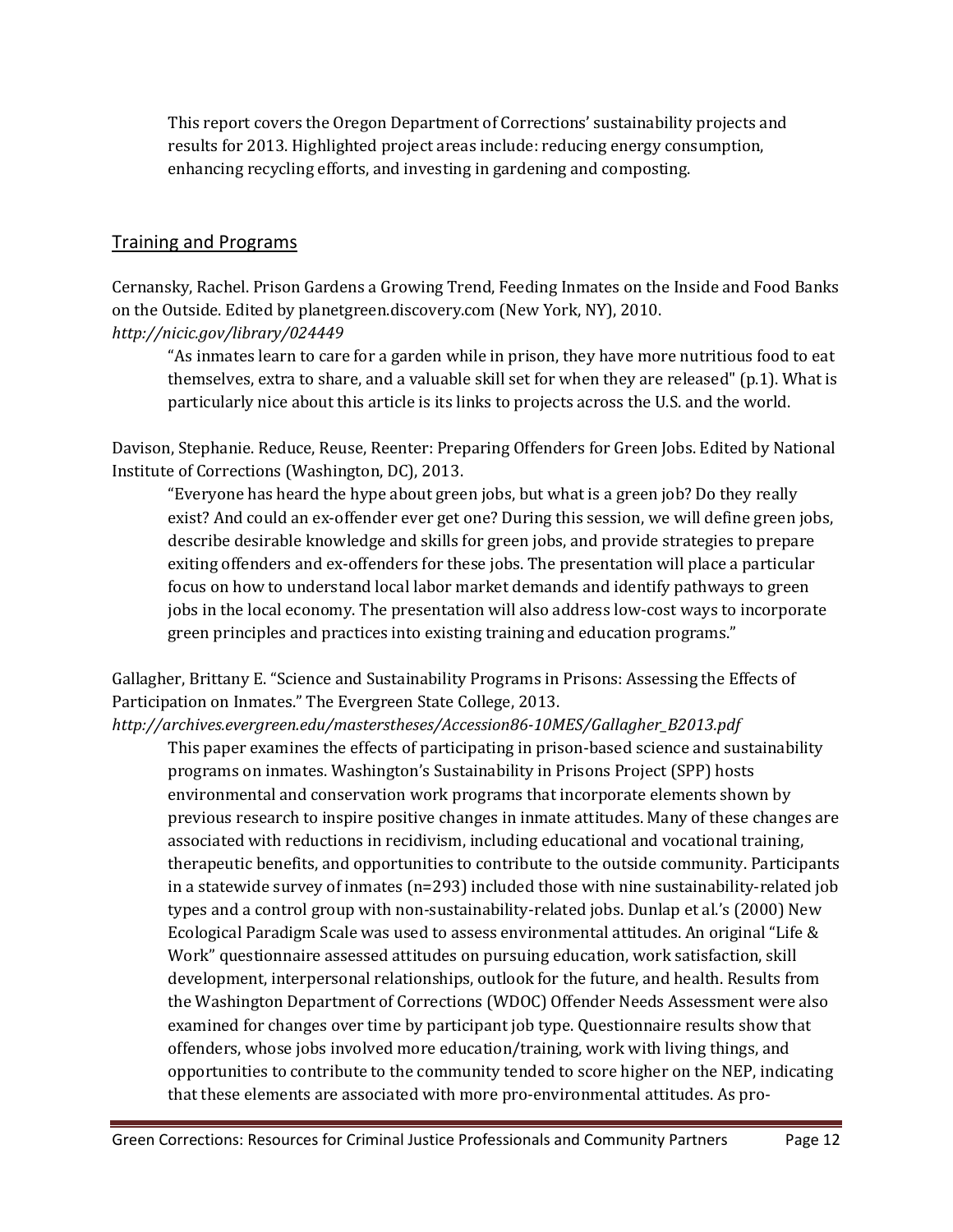This report covers the Oregon Department of Corrections' sustainability projects and results for 2013. Highlighted project areas include: reducing energy consumption, enhancing recycling efforts, and investing in gardening and composting.

#### <span id="page-12-0"></span>Training and Programs

Cernansky, Rachel. Prison Gardens a Growing Trend, Feeding Inmates on the Inside and Food Banks on the Outside. Edited by planetgreen.discovery.com (New York, NY), 2010. *<http://nicic.gov/library/024449>*

"As inmates learn to care for a garden while in prison, they have more nutritious food to eat themselves, extra to share, and a valuable skill set for when they are released" (p.1). What is particularly nice about this article is its links to projects across the U.S. and the world.

Davison, Stephanie. Reduce, Reuse, Reenter: Preparing Offenders for Green Jobs. Edited by National Institute of Corrections (Washington, DC), 2013.

"Everyone has heard the hype about green jobs, but what is a green job? Do they really exist? And could an ex-offender ever get one? During this session, we will define green jobs, describe desirable knowledge and skills for green jobs, and provide strategies to prepare exiting offenders and ex-offenders for these jobs. The presentation will place a particular focus on how to understand local labor market demands and identify pathways to green jobs in the local economy. The presentation will also address low-cost ways to incorporate green principles and practices into existing training and education programs."

Gallagher, Brittany E. "Science and Sustainability Programs in Prisons: Assessing the Effects of Participation on Inmates." The Evergreen State College, 2013.

*[http://archives.evergreen.edu/masterstheses/Accession86-10MES/Gallagher\\_B2013.pdf](http://archives.evergreen.edu/masterstheses/Accession86-10MES/Gallagher_B2013.pdf)*

This paper examines the effects of participating in prison-based science and sustainability programs on inmates. Washington's Sustainability in Prisons Project (SPP) hosts environmental and conservation work programs that incorporate elements shown by previous research to inspire positive changes in inmate attitudes. Many of these changes are associated with reductions in recidivism, including educational and vocational training, therapeutic benefits, and opportunities to contribute to the outside community. Participants in a statewide survey of inmates  $(n=293)$  included those with nine sustainability-related job types and a control group with non-sustainability-related jobs. Dunlap et al.'s (2000) New Ecological Paradigm Scale was used to assess environmental attitudes. An original "Life & Work" questionnaire assessed attitudes on pursuing education, work satisfaction, skill development, interpersonal relationships, outlook for the future, and health. Results from the Washington Department of Corrections (WDOC) Offender Needs Assessment were also examined for changes over time by participant job type. Questionnaire results show that offenders, whose jobs involved more education/training, work with living things, and opportunities to contribute to the community tended to score higher on the NEP, indicating that these elements are associated with more pro-environmental attitudes. As pro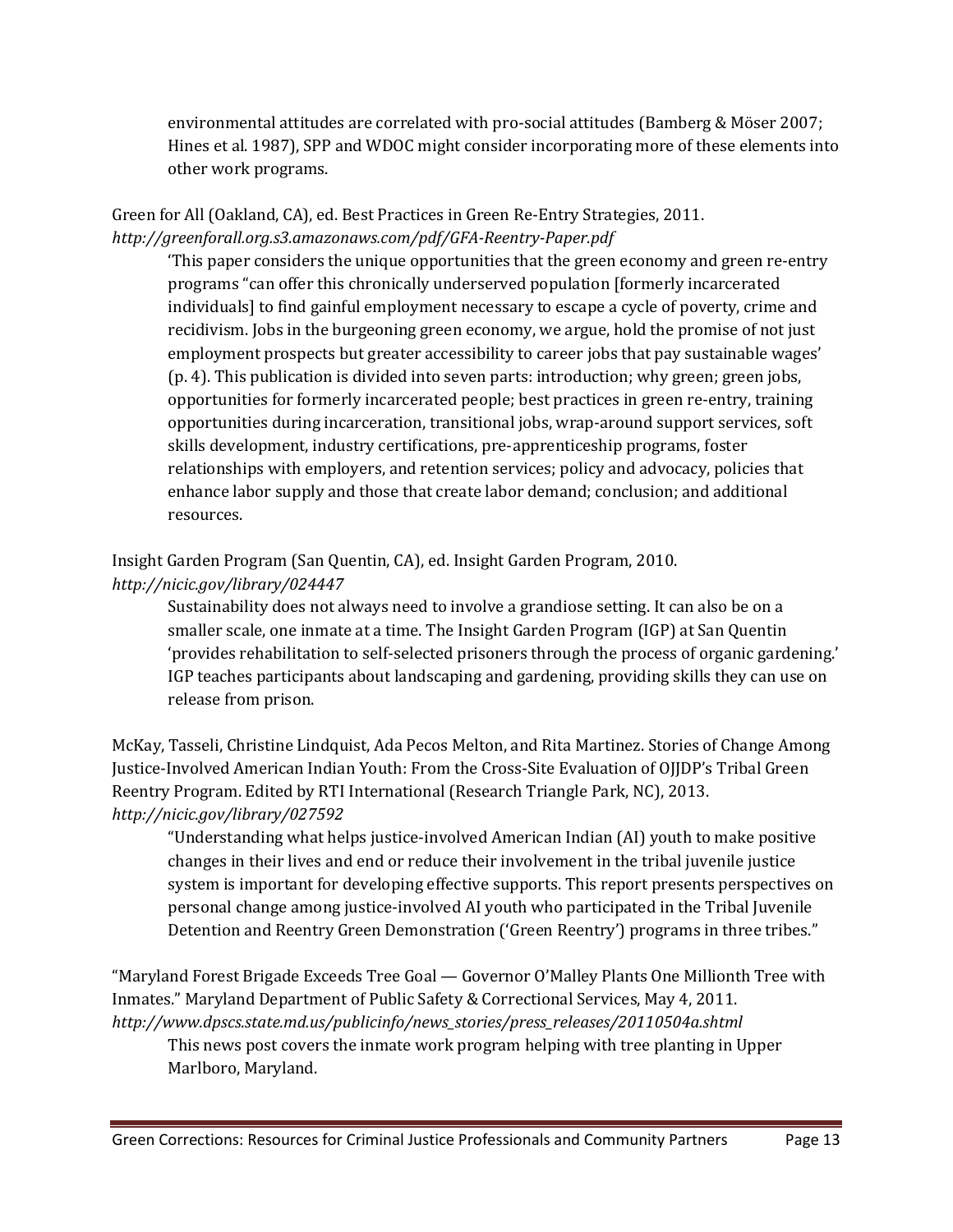environmental attitudes are correlated with pro-social attitudes (Bamberg & Möser 2007; Hines et al. 1987), SPP and WDOC might consider incorporating more of these elements into other work programs.

Green for All (Oakland, CA), ed. Best Practices in Green Re-Entry Strategies, 2011. *<http://greenforall.org.s3.amazonaws.com/pdf/GFA-Reentry-Paper.pdf>*

'This paper considers the unique opportunities that the green economy and green re-entry programs "can offer this chronically underserved population [formerly incarcerated individuals] to find gainful employment necessary to escape a cycle of poverty, crime and recidivism. Jobs in the burgeoning green economy, we argue, hold the promise of not just employment prospects but greater accessibility to career jobs that pay sustainable wages' (p. 4). This publication is divided into seven parts: introduction; why green; green jobs, opportunities for formerly incarcerated people; best practices in green re-entry, training opportunities during incarceration, transitional jobs, wrap-around support services, soft skills development, industry certifications, pre-apprenticeship programs, foster relationships with employers, and retention services; policy and advocacy, policies that enhance labor supply and those that create labor demand; conclusion; and additional resources.

Insight Garden Program (San Quentin, CA), ed. Insight Garden Program, 2010. *<http://nicic.gov/library/024447>*

Sustainability does not always need to involve a grandiose setting. It can also be on a smaller scale, one inmate at a time. The Insight Garden Program (IGP) at San Quentin 'provides rehabilitation to self-selected prisoners through the process of organic gardening.' IGP teaches participants about landscaping and gardening, providing skills they can use on release from prison.

McKay, Tasseli, Christine Lindquist, Ada Pecos Melton, and Rita Martinez. Stories of Change Among Justice-Involved American Indian Youth: From the Cross-Site Evaluation of OJJDP's Tribal Green Reentry Program. Edited by RTI International (Research Triangle Park, NC), 2013. *<http://nicic.gov/library/027592>*

"Understanding what helps justice-involved American Indian (AI) youth to make positive changes in their lives and end or reduce their involvement in the tribal juvenile justice system is important for developing effective supports. This report presents perspectives on personal change among justice-involved AI youth who participated in the Tribal Juvenile Detention and Reentry Green Demonstration ('Green Reentry') programs in three tribes."

"Maryland Forest Brigade Exceeds Tree Goal — Governor O'Malley Plants One Millionth Tree with Inmates." Maryland Department of Public Safety & Correctional Services, May 4, 2011. *[http://www.dpscs.state.md.us/publicinfo/news\\_stories/press\\_releases/20110504a.shtml](http://www.dpscs.state.md.us/publicinfo/news_stories/press_releases/20110504a.shtml)*

This news post covers the inmate work program helping with tree planting in Upper Marlboro, Maryland.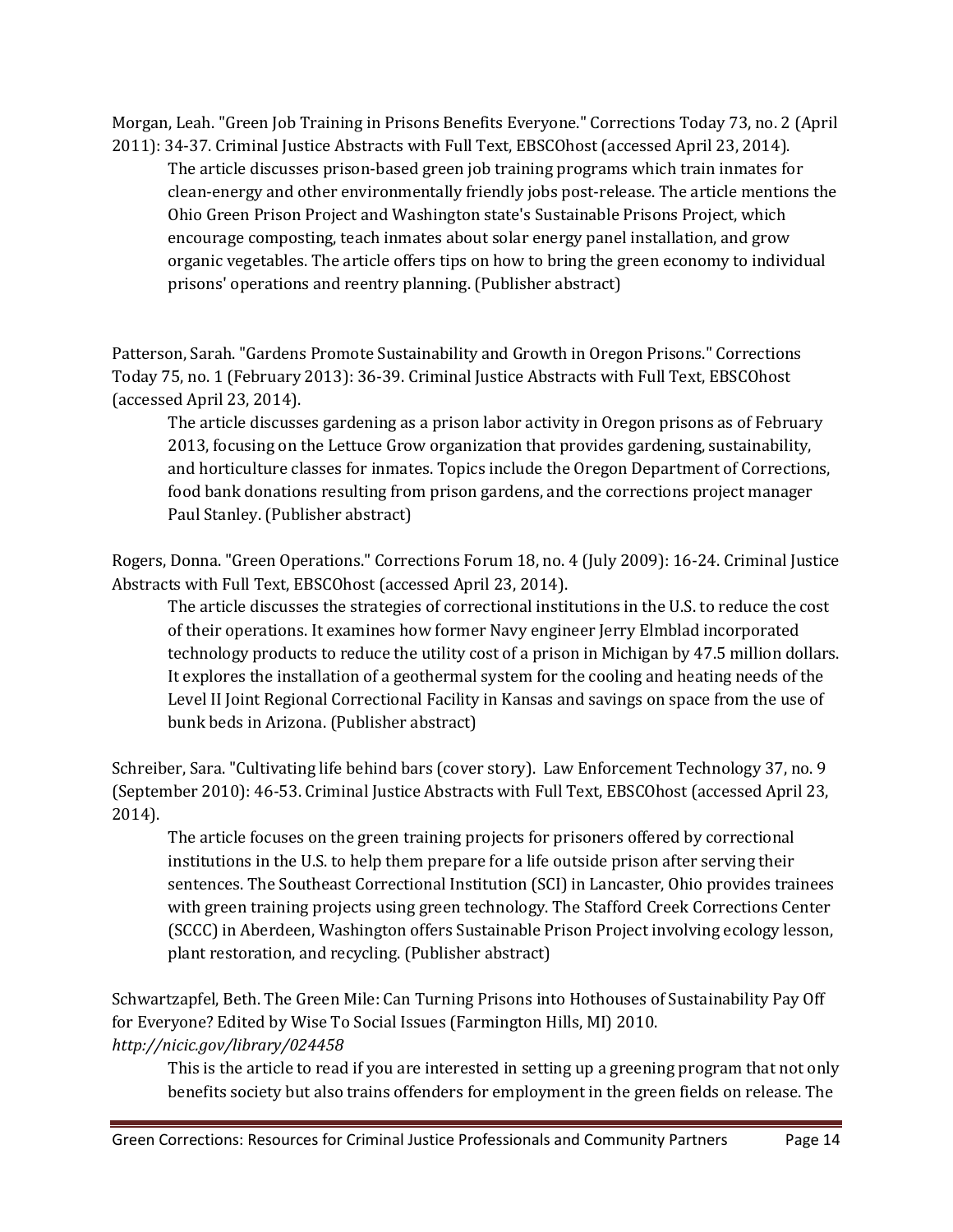Morgan, Leah. "Green Job Training in Prisons Benefits Everyone." Corrections Today 73, no. 2 (April 2011): 34-37. Criminal Justice Abstracts with Full Text, EBSCOhost (accessed April 23, 2014).

The article discusses prison-based green job training programs which train inmates for clean-energy and other environmentally friendly jobs post-release. The article mentions the Ohio Green Prison Project and Washington state's Sustainable Prisons Project, which encourage composting, teach inmates about solar energy panel installation, and grow organic vegetables. The article offers tips on how to bring the green economy to individual prisons' operations and reentry planning. (Publisher abstract)

Patterson, Sarah. "Gardens Promote Sustainability and Growth in Oregon Prisons." Corrections Today 75, no. 1 (February 2013): 36-39. Criminal Justice Abstracts with Full Text, EBSCOhost (accessed April 23, 2014).

The article discusses gardening as a prison labor activity in Oregon prisons as of February 2013, focusing on the Lettuce Grow organization that provides gardening, sustainability, and horticulture classes for inmates. Topics include the Oregon Department of Corrections, food bank donations resulting from prison gardens, and the corrections project manager Paul Stanley. (Publisher abstract)

Rogers, Donna. "Green Operations." Corrections Forum 18, no. 4 (July 2009): 16-24. Criminal Justice Abstracts with Full Text, EBSCOhost (accessed April 23, 2014).

The article discusses the strategies of correctional institutions in the U.S. to reduce the cost of their operations. It examines how former Navy engineer Jerry Elmblad incorporated technology products to reduce the utility cost of a prison in Michigan by 47.5 million dollars. It explores the installation of a geothermal system for the cooling and heating needs of the Level II Joint Regional Correctional Facility in Kansas and savings on space from the use of bunk beds in Arizona. (Publisher abstract)

Schreiber, Sara. "Cultivating life behind bars (cover story). Law Enforcement Technology 37, no. 9 (September 2010): 46-53. Criminal Justice Abstracts with Full Text, EBSCOhost (accessed April 23, 2014).

The article focuses on the green training projects for prisoners offered by correctional institutions in the U.S. to help them prepare for a life outside prison after serving their sentences. The Southeast Correctional Institution (SCI) in Lancaster, Ohio provides trainees with green training projects using green technology. The Stafford Creek Corrections Center (SCCC) in Aberdeen, Washington offers Sustainable Prison Project involving ecology lesson, plant restoration, and recycling. (Publisher abstract)

Schwartzapfel, Beth. The Green Mile: Can Turning Prisons into Hothouses of Sustainability Pay Off for Everyone? Edited by Wise To Social Issues (Farmington Hills, MI) 2010. *<http://nicic.gov/library/024458>*

This is the article to read if you are interested in setting up a greening program that not only benefits society but also trains offenders for employment in the green fields on release. The